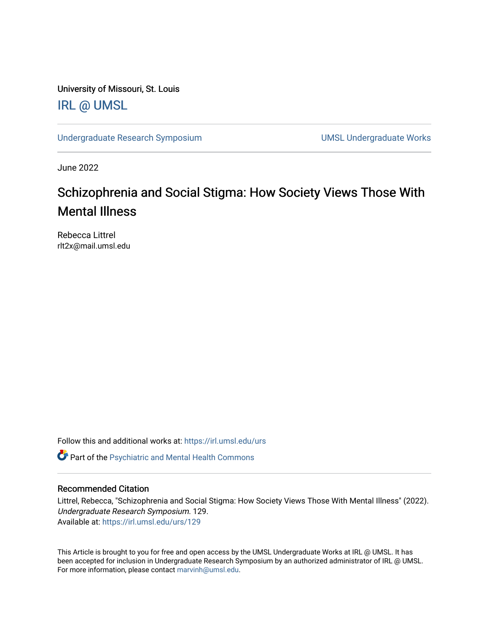University of Missouri, St. Louis [IRL @ UMSL](https://irl.umsl.edu/) 

[Undergraduate Research Symposium](https://irl.umsl.edu/urs) and a series of the UMSL Undergraduate Works

June 2022

### Schizophrenia and Social Stigma: How Society Views Those With Mental Illness

Rebecca Littrel rlt2x@mail.umsl.edu

Follow this and additional works at: [https://irl.umsl.edu/urs](https://irl.umsl.edu/urs?utm_source=irl.umsl.edu%2Furs%2F129&utm_medium=PDF&utm_campaign=PDFCoverPages)

**C** Part of the Psychiatric and Mental Health Commons

### Recommended Citation

Littrel, Rebecca, "Schizophrenia and Social Stigma: How Society Views Those With Mental Illness" (2022). Undergraduate Research Symposium. 129. Available at: [https://irl.umsl.edu/urs/129](https://irl.umsl.edu/urs/129?utm_source=irl.umsl.edu%2Furs%2F129&utm_medium=PDF&utm_campaign=PDFCoverPages) 

This Article is brought to you for free and open access by the UMSL Undergraduate Works at IRL @ UMSL. It has been accepted for inclusion in Undergraduate Research Symposium by an authorized administrator of IRL @ UMSL. For more information, please contact [marvinh@umsl.edu](mailto:marvinh@umsl.edu).